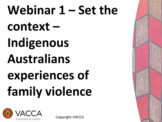# Webinar 1 – Set the context – **Indigenous Australians**  experiences of **family violence**



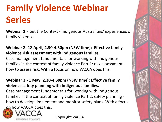# **Family Violence Webinar Series**

**Webinar 1** - Set the Context - Indigenous Australians' experiences of family violence

#### Webinar 2 -18 April, 2.30-4.30pm (NSW time): Effective family violence risk assessment with Indigenous families.

Case management fundamentals for working with Indigenous families in the context of family violence Part 1: risk assessment how to assess risk. With a focus on how VACCA does this.

#### Webinar 3 - 1 May, 2.30-4.30pm (NSW time): Effective family violence safety planning with Indigenous families.

Case management fundamentals for working with Indigenous families in the context of family violence Part 2: safety planning how to develop, implement and monitor safety plans. With a focus on how VACCA does this.



onnected by culture

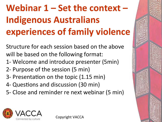# Webinar 1 – Set the context – **Indigenous Australians experiences of family violence**

Structure for each session based on the above will be based on the following format:

- 1- Welcome and introduce presenter (5min)
- 2- Purpose of the session (5 min)
- 3- Presentation on the topic (1.15 min)
- 4- Questions and discussion (30 min)
- 5- Close and reminder re next webinar (5 min)



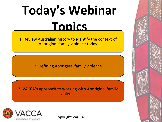# **Today's Webinar Topics**

1. Review Australian history to identify the context of Aboriginal family violence today

2. Defining Aboriginal family violence

3. VACCA's approach to working with Aboriginal family violence 



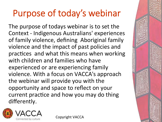## Purpose of today's webinar

The purpose of todays webinar is to set the Context - Indigenous Australians' experiences of family violence, defining Aboriginal family violence and the impact of past policies and practices and what this means when working with children and families who have experienced or are experiencing family violence. With a focus on VACCA's approach the webinar will provide you with the opportunity and space to reflect on your current practice and how you may do thing differently. 

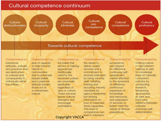#### Cultural competence continuum



Characterised by: intentional attitudes, policies and practices that are destructive to cultures and consequently to individuals within the culture

Characterised by: lack of capacity to help minority clients or communities due to extremely biased beliefs and a paternal attitude toward those not of a mainstream culture

Characterised by: the belief that service or helping approaches traditionally used by the dominant culture are universally applicable regardless of race or culture. These services ignore cultural strengths and encourage assimilation

Characterised by: the desire to deliver quality services and a commitment to diversity indicated by hiring minority staff, initiating training and recruiting minority members for agency leadership but lacking information on how to maximise these capacities. This level of competence can

Characterised by: acceptance and respect for difference continuing selfassessment. careful attention to the dynamics of difference. continuous expansion of knowledge and resources. and adaptation of services to better meet the needs of diverse populations

Characterised by: holding culture in high esteem; seeking to add to knowledge base of culturally competent practice by conducting research, influencing approaches to care and improving relations between cultures: promotes selfdetermination

Copyright VACCA<sup>lead</sup> to tokenism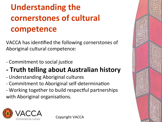### **Understanding the cornerstones of cultural competence**

VACCA has identified the following cornerstones of Aboriginal cultural competence:

- Commitment to social justice
- **Truth telling about Australian history**
- Understanding Aboriginal cultures
- Commitment to Aboriginal self-determination
- Working together to build respectful partnerships with Aboriginal organisations.



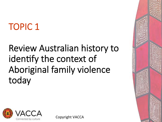# TOPIC 1

### Review Australian history to identify the context of Aboriginal family violence today



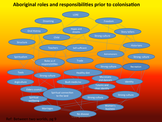#### **Aboriginal roles and responsibilities prior to colonisation**

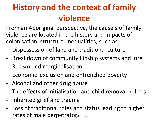#### **History and the context of family violence**

From an Aboriginal perspective, the cause's of family violence are located in the history and impacts of colonisation, structural inequalities, such as:

- Dispossession of land and traditional culture
- Breakdown of community kinship systems and lore
- Racism and marginalisation
- Economic exclusion and entrenched poverty
- Alcohol and other drug abuse
- The effects of initialisation and child removal polices
- Inherited grief and trauma
- Loss of traditional roles and status leading to higher rates of male perpetrators **CALCA**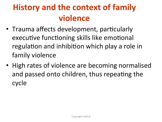#### **History and the context of family violence**

- Trauma affects development, particularly executive functioning skills like emotional regulation and inhibition which play a role in family violence
- High rates of violence are becoming normalised and passed onto children, thus repeating the cycle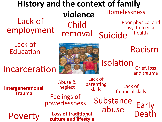#### **History and the context of family violence**  Lack of employment removal Suicide Child removal Poor physical and psychological health Homelessness

Lack of Education

Incarceration

**Intergenerational Trauma** 



Grief, loss and trauma Racism Isolation

Early Death Poverty Lack of financial skills Loss of traditional **culture and lifestyle** Feelings of<br>powerlessness Substance abuse Lack of parenting skills Abuse & neglect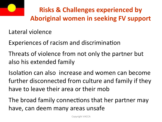

#### **Risks & Challenges experienced by Aboriginal women in seeking FV support**

Lateral violence

Experiences of racism and discrimination

Threats of violence from not only the partner but also his extended family

Isolation can also increase and women can become further disconnected from culture and family if they have to leave their area or their mob

The broad family connections that her partner may have, can deem many areas unsafe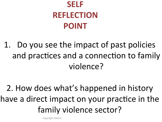#### **SELF REFLECTION POINT**

1. Do you see the impact of past policies and practices and a connection to family violence? 

2. How does what's happened in history have a direct impact on your practice in the family violence sector?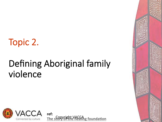#### Topic 2.

#### Defining Aboriginal family violence



**ref: The story of the healing foundation** 

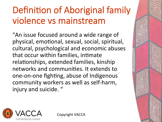# Definition of Aboriginal family violence vs mainstream

"An issue focused around a wide range of physical, emotional, sexual, social, spiritual, cultural, psychological and economic abuses that occur within families, intimate relationships, extended families, kinship networks and communities. It extends to one-on-one fighting, abuse of Indigenous community workers as well as self-harm, injury and suicide. "

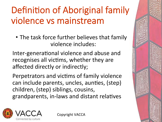# Definition of Aboriginal family violence vs mainstream

• The task force further believes that family violence includes:

Inter-generational violence and abuse and recognises all victims, whether they are affected directly or indirectly;

Perpetrators and victims of family violence can include parents, uncles, aunties, (step) children, (step) siblings, cousins, grandparents, in-laws and distant relatives

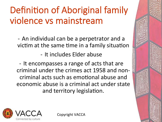# Definition of Aboriginal family violence vs mainstream

- An individual can be a perpetrator and a victim at the same time in a family situation

- It includes Elder abuse

- It encompasses a range of acts that are criminal under the crimes act 1958 and noncriminal acts such as emotional abuse and economic abuse is a criminal act under state and territory legislation.

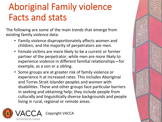### Aboriginal Family violence Facts and stats

The following are some of the main trends that emerge from existing family violence data:

- Family violence disproportionately affects women and children, and the majority of perpetrators are men.
- Female victims are more likely to be a current or former partner of the perpetrator, while men are more likely to experience violence in different familial relationships-for example, as a son or a sibling.
- Some groups are at greater risk of family violence or experience it at increased rates. This includes Aboriginal and Torres Strait Islander peoples and women with disabilities. These and other groups face particular barriers in seeking and obtaining help; they include people from culturally and linguistically diverse backgrounds and people living in rural, regional or remote areas.



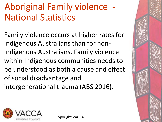# Aboriginal Family violence **National Statistics**

Family violence occurs at higher rates for Indigenous Australians than for non-Indigenous Australians. Family violence within Indigenous communities needs to be understood as both a cause and effect of social disadvantage and intergenerational trauma (ABS 2016).



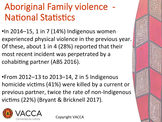## Aboriginal Family violence - **National Statistics**

 $\cdot$ In 2014–15, 1 in 7 (14%) Indigenous women experienced physical violence in the previous year. Of these, about 1 in 4 (28%) reported that their most recent incident was perpetrated by a cohabiting partner (ABS 2016).

•From 2012–13 to 2013–14, 2 in 5 Indigenous homicide victims (41%) were killed by a current or previous partner, twice the rate of non-Indigenous victims (22%) (Bryant & Bricknell 2017).

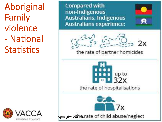Aboriginal Family violence - National Statistics



**Compared with** non-Indigenous **Australians, Indigenous Australians experience:** 



 $2x$ 

the rate of partner homicides

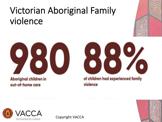### Victorian Aboriginal Family violence



Aboriginal children in out-of-home care



of children had experienced family violence



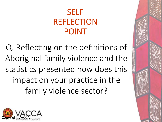#### SELF REFLECTION POINT

Q. Reflecting on the definitions of Aboriginal family violence and the statistics presented how does this impact on your practice in the family violence sector?

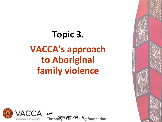# Topic 3. **VACCA's approach to Aboriginal family violence**



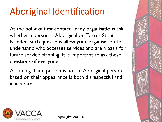# Aboriginal Identification

At the point of first contact, many organisations ask whether a person is Aboriginal or Torres Strait Islander. Such questions allow your organisation to understand who accesses services and are a basis for future service planning. It is important to ask these questions of everyone.

Assuming that a person is not an Aboriginal person based on their appearance is both disrespectful and inaccurate.

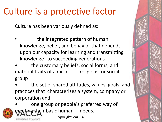Culture has been variously defined as:

- the integrated pattern of human knowledge, belief, and behavior that depends upon our capacity for learning and transmitting knowledge to succeeding generations
- the customary beliefs, social forms, and material traits of a racial, religious, or social group
- the set of shared attitudes, values, goals, and practices that characterizes a system, company or corporation and

one group or people's preferred way of neeting their basic human needs. Copyright VACCA Connected by culture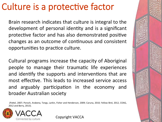Brain research indicates that culture is integral to the development of personal identity and is a significant protective factor and has also demonstrated positive changes as an outcome of continuous and consistent opportunities to practice culture.

Cultural programs increase the capacity of Aboriginal people to manage their traumatic life experiences and identify the supports and interventions that are most effective. This leads to increased service access and arguably participation in the economy and broader Australian society 

(Pattel, 2007; Poroch, Arabena, Tongs, Larkin, Fisher and Henderson, 2009; Caruna, 2010; Yellow Bird, 2012, COAG, 2012 and Berry, 2013).

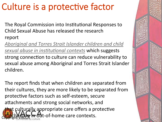The Royal Commission into Institutional Responses to Child Sexual Abuse has released the research report 

Aboriginal and Torres Strait Islander children and child sexual abuse in institutional contexts which suggests strong connection to culture can reduce vulnerability to sexual abuse among Aboriginal and Torres Strait Islander children. 

The report finds that when children are separated from their cultures, they are more likely to be separated from protective factors such as self-esteem, secure attachments and strong social networks, and that culturally appropriate care offers a protective n out-of-home care contexts.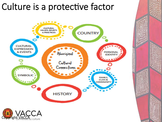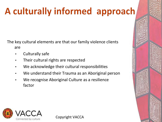# A culturally informed approach

The key cultural elements are that our family violence clients are 

- Culturally safe
- Their cultural rights are respected
- We acknowledge their cultural responsibilities
- We understand their Trauma as an Aboriginal person
- We recognise Aboriginal Culture as a resilience factor

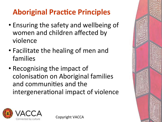#### **Aboriginal Practice Principles**

- Ensuring the safety and wellbeing of women and children affected by violence
- Facilitate the healing of men and families
- Recognising the impact of colonisation on Aboriginal families and communities and the intergenerational impact of violence



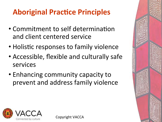#### **Aboriginal Practice Principles**

- Commitment to self determination and client centered service
- Holistic responses to family violence
- Accessible, flexible and culturally safe services
- Enhancing community capacity to prevent and address family violence



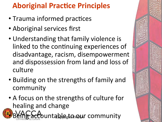#### **Aboriginal Practice Principles**

- Trauma informed practices
- Aboriginal services first
- Understanding that family violence is linked to the continuing experiences of disadvantage, racism, disempowerment and dispossession from land and loss of culture
- Building on the strengths of family and community
- A focus on the strengths of culture for healing and change

ccountable<sub>s</sub>to aur community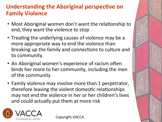#### **Understanding the Aboriginal perspective on Family Violence**

- Most Aboriginal women don't want the relationship to end, they want the violence to stop
- Treating the underlying causes of violence may be a more appropriate way to end the violence than breaking up the family and connections to culture and to community.
- An Aboriginal women's experience of racism often binds her more to her community, including the men of the community
- Family violence may involve more than 1 perpetrator, therefore leaving the violent domestic relationships may not end the violence in her or her children's lives and could actually put them at more risk

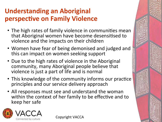#### **Understanding an Aboriginal perspective on Family Violence**

- The high rates of family violence in communities mean that Aboriginal women have become desensitised to violence and the impacts on their children
- Women have fear of being demonised and judged and this can impact on women seeking support
- Due to the high rates of violence in the Aboriginal community, many Aboriginal people believe that violence is just a part of life and is normal
- This knowledge of the community informs our practice principles and our service delivery approach
- All responses must see and understand the woman within the context of her family to be effective and to keep her safe

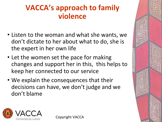#### **VACCA's approach to family violence**

- Listen to the woman and what she wants, we don't dictate to her about what to do, she is the expert in her own life
- Let the women set the pace for making changes and support her in this, this helps to keep her connected to our service
- We explain the consequences that their decisions can have, we don't judge and we don't blame

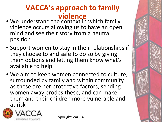#### **VACCA's approach to family violence**

- We understand the context in which family violence occurs allowing us to have an open mind and see their story from a neutral position
- Support women to stay in their relationships if they choose to and safe to do so by giving them options and letting them know what's available to help
- We aim to keep women connected to culture, surrounded by family and within community as these are her protective factors, sending women away erodes these, and can make them and their children more vulnerable and at risk



onnected by cult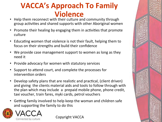#### **VACCA's Approach To Family Violence**

- Help them reconnect with their culture and community through group activities and shared supports with other Aboriginal women
- **Promote their healing by engaging them in activities that promote** culture
- Educating women that violence is not their fault, helping them to focus on their strengths and build their confidence
- We provide case management support to women as long as they need it
- Provide advocacy for women with statutory services
- Support to attend court, and complete the processes for intervention orders
- Develop safety plans that are realistic and practical, (client driven) and giving the clients material aids and tools to follow through with the plan which may include a prepaid mobile phone, phone credit, taxi voucher, train fares, myki cards, petrol vouchers
- Getting family involved to help keep the woman and children safe and supporting the family to do this



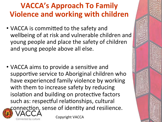#### **VACCA's Approach To Family Violence and working with children**

- VACCA is committed to the safety and wellbeing of at risk and vulnerable children and young people and place the safety of children and young people above all else.
- VACCA aims to provide a sensitive and supportive service to Aboriginal children who have experienced family violence by working with them to increase safety by reducing isolation and building on protective factors such as: respectful relationships, cultural connection, sense of identity and resilience.

Copyright VACCA

• 

onnected by culture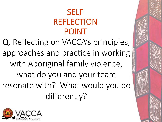#### SELF REFLECTION POINT

Q. Reflecting on VACCA's principles, approaches and practice in working with Aboriginal family violence, what do you and your team resonate with? What would you do differently?

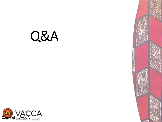# Q&A